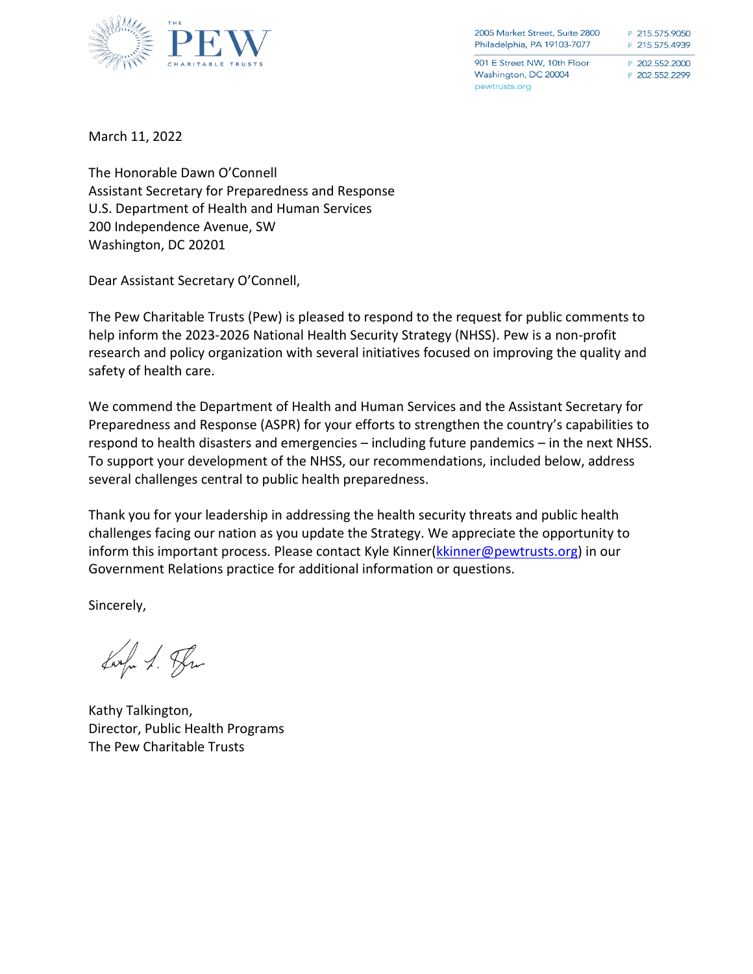

2005 Market Street, Suite 2800 Philadelphia, PA 19103-7077

901 E Street NW, 10th Floor Washington, DC 20004 pewtrusts.org

P 215.575.9050 F 215.575.4939

P 202.552.2000 F 202.552.2299

March 11, 2022

The Honorable Dawn O'Connell Assistant Secretary for Preparedness and Response U.S. Department of Health and Human Services 200 Independence Avenue, SW Washington, DC 20201

Dear Assistant Secretary O'Connell,

The Pew Charitable Trusts (Pew) is pleased to respond to the request for public comments to help inform the 2023-2026 National Health Security Strategy (NHSS). Pew is a non-profit research and policy organization with several initiatives focused on improving the quality and safety of health care.

We commend the Department of Health and Human Services and the Assistant Secretary for Preparedness and Response (ASPR) for your efforts to strengthen the country's capabilities to respond to health disasters and emergencies – including future pandemics – in the next NHSS. To support your development of the NHSS, our recommendations, included below, address several challenges central to public health preparedness.

Thank you for your leadership in addressing the health security threats and public health challenges facing our nation as you update the Strategy. We appreciate the opportunity to inform this important process. Please contact Kyle Kinner[\(kkinner@pewtrusts.org\)](mailto:kkinner@pewtrusts.org) in our Government Relations practice for additional information or questions.

Sincerely,

Larga 1. Plus

Kathy Talkington, Director, Public Health Programs The Pew Charitable Trusts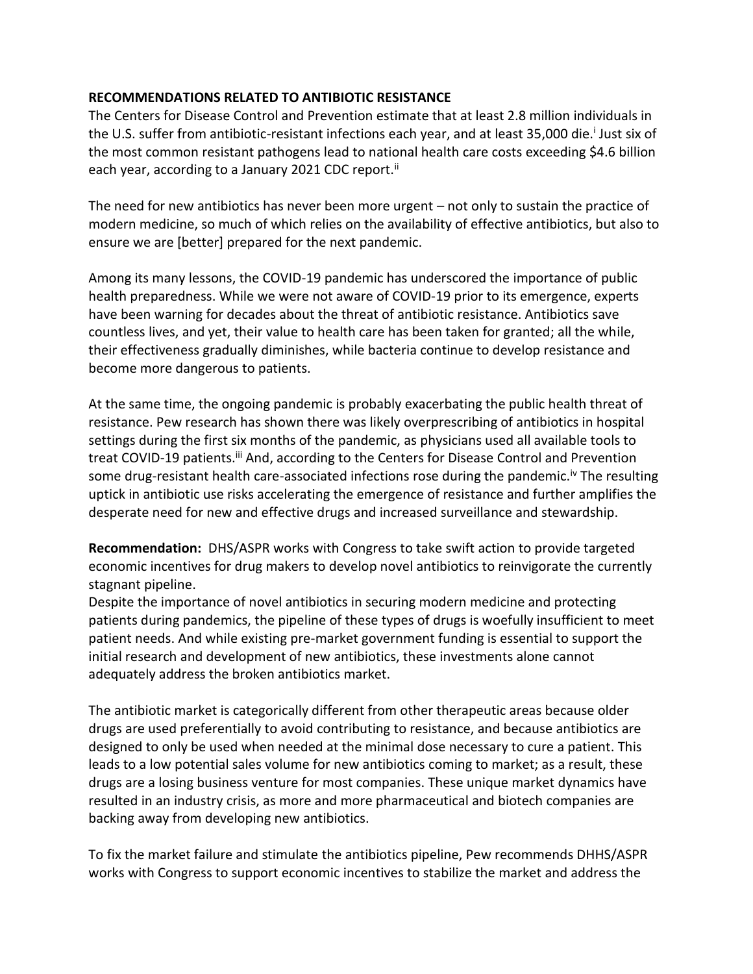## **RECOMMENDATIONS RELATED TO ANTIBIOTIC RESISTANCE**

The Centers for Disease Control and Prevention estimate that at least 2.8 million individuals in the U.S. suffer from antibiotic-resistant infections each year, and at least 35,000 die.<sup>i</sup> Just six of the most common resistant pathogens lead to national health care costs exceeding \$4.6 billion each year, according to a January 2021 CDC report.<sup>ii</sup>

The need for new antibiotics has never been more urgent – not only to sustain the practice of modern medicine, so much of which relies on the availability of effective antibiotics, but also to ensure we are [better] prepared for the next pandemic.

Among its many lessons, the COVID-19 pandemic has underscored the importance of public health preparedness. While we were not aware of COVID-19 prior to its emergence, experts have been warning for decades about the threat of antibiotic resistance. Antibiotics save countless lives, and yet, their value to health care has been taken for granted; all the while, their effectiveness gradually diminishes, while bacteria continue to develop resistance and become more dangerous to patients.

At the same time, the ongoing pandemic is probably exacerbating the public health threat of resistance. Pew research has shown there was likely overprescribing of antibiotics in hospital settings during the first six months of the pandemic, as physicians used all available tools to treat COVID-19 patients.<sup>iii</sup> And, according to the Centers for Disease Control and Prevention some drug-resistant health care-associated infections rose during the pandemic.<sup>iv</sup> The resulting uptick in antibiotic use risks accelerating the emergence of resistance and further amplifies the desperate need for new and effective drugs and increased surveillance and stewardship.

**Recommendation:** DHS/ASPR works with Congress to take swift action to provide targeted economic incentives for drug makers to develop novel antibiotics to reinvigorate the currently stagnant pipeline.

Despite the importance of novel antibiotics in securing modern medicine and protecting patients during pandemics, the pipeline of these types of drugs is woefully insufficient to meet patient needs. And while existing pre-market government funding is essential to support the initial research and development of new antibiotics, these investments alone cannot adequately address the broken antibiotics market.

The antibiotic market is categorically different from other therapeutic areas because older drugs are used preferentially to avoid contributing to resistance, and because antibiotics are designed to only be used when needed at the minimal dose necessary to cure a patient. This leads to a low potential sales volume for new antibiotics coming to market; as a result, these drugs are a losing business venture for most companies. These unique market dynamics have resulted in an industry crisis, as more and more pharmaceutical and biotech companies are backing away from developing new antibiotics.

To fix the market failure and stimulate the antibiotics pipeline, Pew recommends DHHS/ASPR works with Congress to support economic incentives to stabilize the market and address the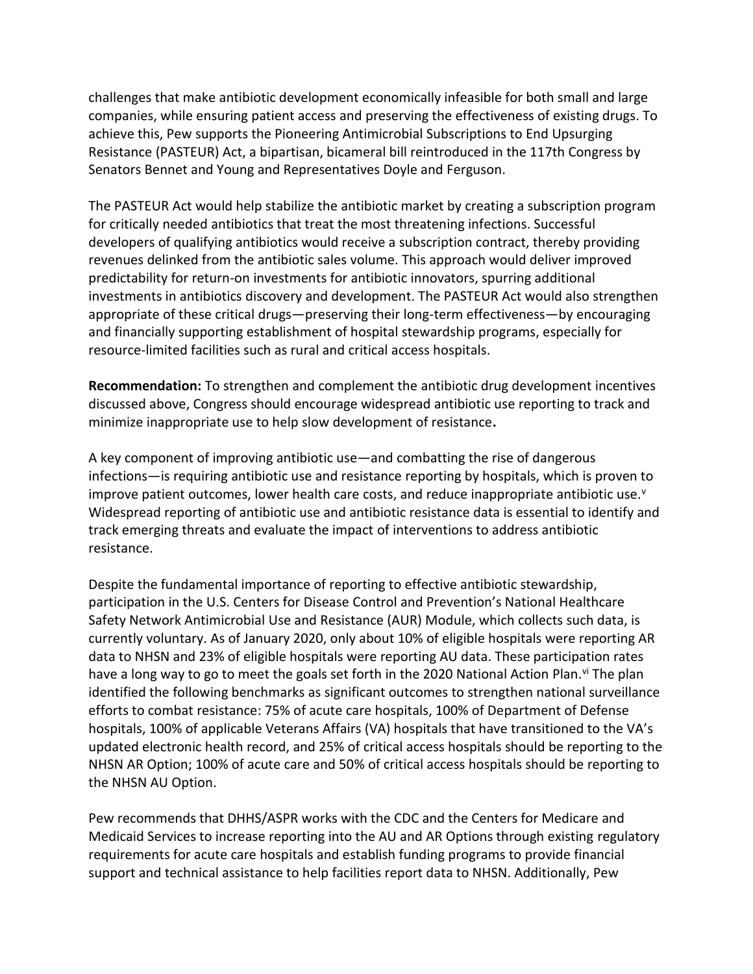challenges that make antibiotic development economically infeasible for both small and large companies, while ensuring patient access and preserving the effectiveness of existing drugs. To achieve this, Pew supports the Pioneering Antimicrobial Subscriptions to End Upsurging Resistance (PASTEUR) Act, a bipartisan, bicameral bill reintroduced in the 117th Congress by Senators Bennet and Young and Representatives Doyle and Ferguson.

The PASTEUR Act would help stabilize the antibiotic market by creating a subscription program for critically needed antibiotics that treat the most threatening infections. Successful developers of qualifying antibiotics would receive a subscription contract, thereby providing revenues delinked from the antibiotic sales volume. This approach would deliver improved predictability for return-on investments for antibiotic innovators, spurring additional investments in antibiotics discovery and development. The PASTEUR Act would also strengthen appropriate of these critical drugs—preserving their long-term effectiveness—by encouraging and financially supporting establishment of hospital stewardship programs, especially for resource-limited facilities such as rural and critical access hospitals.

**Recommendation:** To strengthen and complement the antibiotic drug development incentives discussed above, Congress should encourage widespread antibiotic use reporting to track and minimize inappropriate use to help slow development of resistance**.**

A key component of improving antibiotic use—and combatting the rise of dangerous infections—is requiring antibiotic use and resistance reporting by hospitals, which is proven to improve patient outcomes, lower health care costs, and reduce inappropriate antibiotic use.<sup>v</sup> Widespread reporting of antibiotic use and antibiotic resistance data is essential to identify and track emerging threats and evaluate the impact of interventions to address antibiotic resistance.

Despite the fundamental importance of reporting to effective antibiotic stewardship, participation in the U.S. Centers for Disease Control and Prevention's National Healthcare Safety Network Antimicrobial Use and Resistance (AUR) Module, which collects such data, is currently voluntary. As of January 2020, only about 10% of eligible hospitals were reporting AR data to NHSN and 23% of eligible hospitals were reporting AU data. These participation rates have a long way to go to meet the goals set forth in the 2020 National Action Plan. V The plan identified the following benchmarks as significant outcomes to strengthen national surveillance efforts to combat resistance: 75% of acute care hospitals, 100% of Department of Defense hospitals, 100% of applicable Veterans Affairs (VA) hospitals that have transitioned to the VA's updated electronic health record, and 25% of critical access hospitals should be reporting to the NHSN AR Option; 100% of acute care and 50% of critical access hospitals should be reporting to the NHSN AU Option.

Pew recommends that DHHS/ASPR works with the CDC and the Centers for Medicare and Medicaid Services to increase reporting into the AU and AR Options through existing regulatory requirements for acute care hospitals and establish funding programs to provide financial support and technical assistance to help facilities report data to NHSN. Additionally, Pew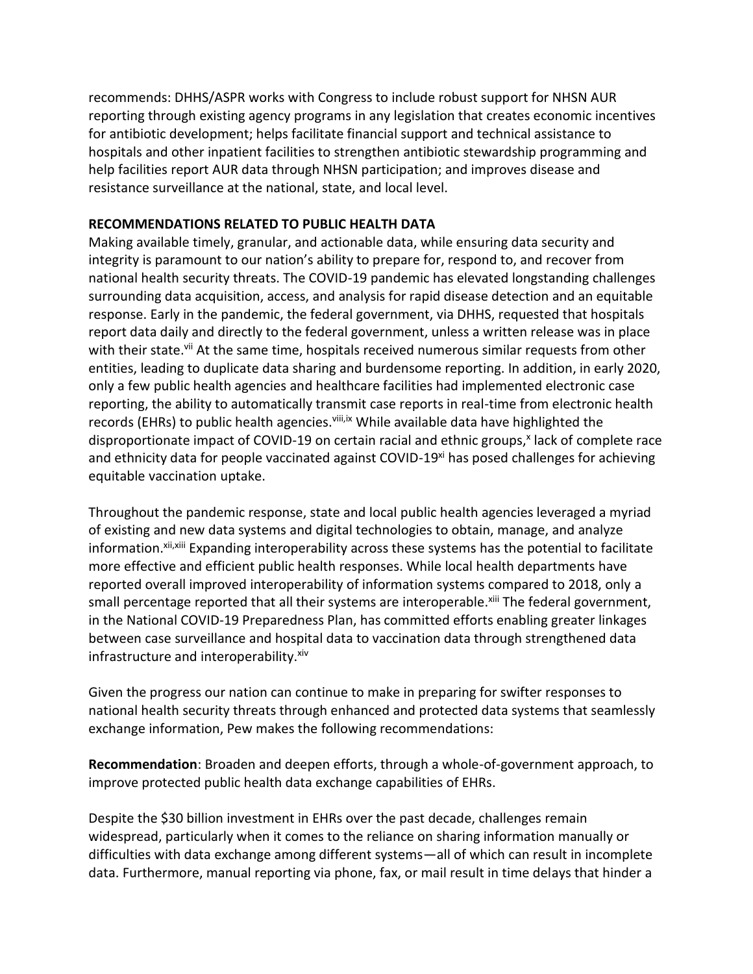recommends: DHHS/ASPR works with Congress to include robust support for NHSN AUR reporting through existing agency programs in any legislation that creates economic incentives for antibiotic development; helps facilitate financial support and technical assistance to hospitals and other inpatient facilities to strengthen antibiotic stewardship programming and help facilities report AUR data through NHSN participation; and improves disease and resistance surveillance at the national, state, and local level.

## **RECOMMENDATIONS RELATED TO PUBLIC HEALTH DATA**

Making available timely, granular, and actionable data, while ensuring data security and integrity is paramount to our nation's ability to prepare for, respond to, and recover from national health security threats. The COVID-19 pandemic has elevated longstanding challenges surrounding data acquisition, access, and analysis for rapid disease detection and an equitable response. Early in the pandemic, the federal government, via DHHS, requested that hospitals report data daily and directly to the federal government, unless a written release was in place with their state.<sup>vii</sup> At the same time, hospitals received numerous similar requests from other entities, leading to duplicate data sharing and burdensome reporting. In addition, in early 2020, only a few public health agencies and healthcare facilities had implemented electronic case reporting, the ability to automatically transmit case reports in real-time from electronic health records (EHRs) to public health agencies.<sup>viii,ix</sup> While available data have highlighted the disproportionate impact of COVID-19 on certain racial and ethnic groups,<sup>x</sup> lack of complete race and ethnicity data for people vaccinated against COVID-19<sup>xi</sup> has posed challenges for achieving equitable vaccination uptake.

Throughout the pandemic response, state and local public health agencies leveraged a myriad of existing and new data systems and digital technologies to obtain, manage, and analyze information.<sup>xii,xiii</sup> Expanding interoperability across these systems has the potential to facilitate more effective and efficient public health responses. While local health departments have reported overall improved interoperability of information systems compared to 2018, only a small percentage reported that all their systems are interoperable.<sup>xiii</sup> The federal government, in the National COVID-19 Preparedness Plan, has committed efforts enabling greater linkages between case surveillance and hospital data to vaccination data through strengthened data infrastructure and interoperability. xiv

Given the progress our nation can continue to make in preparing for swifter responses to national health security threats through enhanced and protected data systems that seamlessly exchange information, Pew makes the following recommendations:

**Recommendation**: Broaden and deepen efforts, through a whole-of-government approach, to improve protected public health data exchange capabilities of EHRs.

Despite the \$30 billion investment in EHRs over the past decade, challenges remain widespread, particularly when it comes to the reliance on sharing information manually or difficulties with data exchange among different systems—all of which can result in incomplete data. Furthermore, manual reporting via phone, fax, or mail result in time delays that hinder a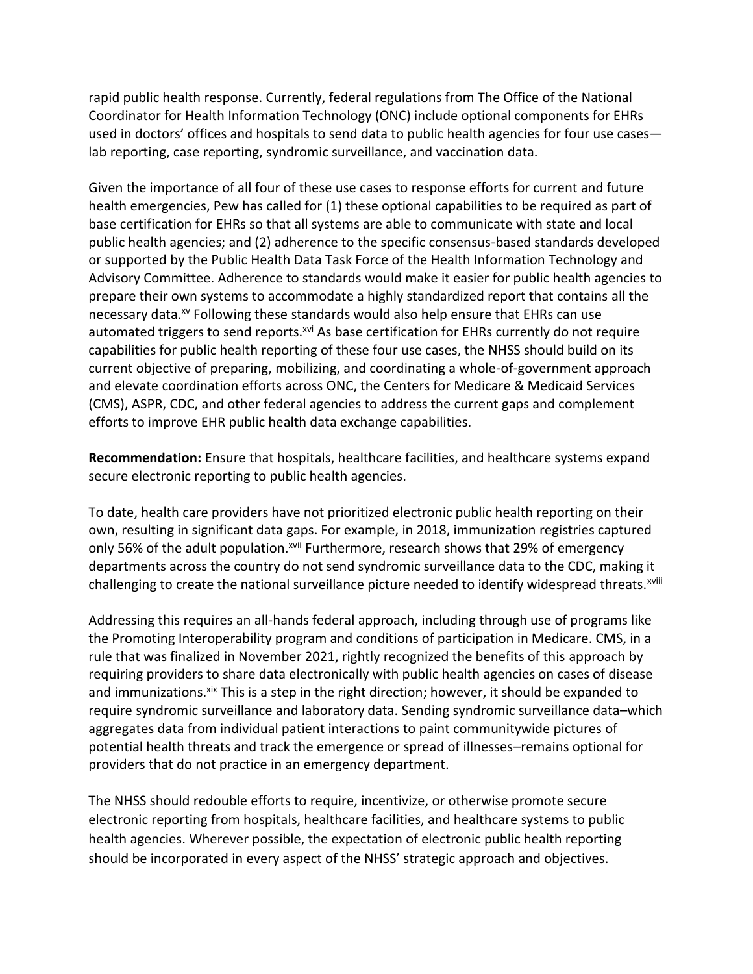rapid public health response. Currently, federal regulations from The Office of the National Coordinator for Health Information Technology (ONC) include optional components for EHRs used in doctors' offices and hospitals to send data to public health agencies for four use cases lab reporting, case reporting, syndromic surveillance, and vaccination data.

Given the importance of all four of these use cases to response efforts for current and future health emergencies, Pew has called for (1) these optional capabilities to be required as part of base certification for EHRs so that all systems are able to communicate with state and local public health agencies; and (2) adherence to the specific consensus-based standards developed or supported by the Public Health Data Task Force of the Health Information Technology and Advisory Committee. Adherence to standards would make it easier for public health agencies to prepare their own systems to accommodate a highly standardized report that contains all the necessary data.<sup>xv</sup> Following these standards would also help ensure that EHRs can use automated triggers to send reports.<sup>xvi</sup> As base certification for EHRs currently do not require capabilities for public health reporting of these four use cases, the NHSS should build on its current objective of preparing, mobilizing, and coordinating a whole-of-government approach and elevate coordination efforts across ONC, the Centers for Medicare & Medicaid Services (CMS), ASPR, CDC, and other federal agencies to address the current gaps and complement efforts to improve EHR public health data exchange capabilities.

**Recommendation:** Ensure that hospitals, healthcare facilities, and healthcare systems expand secure electronic reporting to public health agencies.

To date, health care providers have not prioritized electronic public health reporting on their own, resulting in significant data gaps. For example, in 2018, immunization registries captured only 56% of the adult population.<sup>xvii</sup> Furthermore, research shows that 29% of emergency departments across the country do not send syndromic surveillance data to the CDC, making it challenging to create the national surveillance picture needed to identify widespread threats.<sup>xviii</sup>

Addressing this requires an all-hands federal approach, including through use of programs like the Promoting Interoperability program and conditions of participation in Medicare. CMS, in a rule that was finalized in November 2021, rightly recognized the benefits of this approach by requiring providers to share data electronically with public health agencies on cases of disease and immunizations.<sup>xix</sup> This is a step in the right direction; however, it should be expanded to require syndromic surveillance and laboratory data. Sending syndromic surveillance data–which aggregates data from individual patient interactions to paint communitywide pictures of potential health threats and track the emergence or spread of illnesses–remains optional for providers that do not practice in an emergency department.

The NHSS should redouble efforts to require, incentivize, or otherwise promote secure electronic reporting from hospitals, healthcare facilities, and healthcare systems to public health agencies. Wherever possible, the expectation of electronic public health reporting should be incorporated in every aspect of the NHSS' strategic approach and objectives.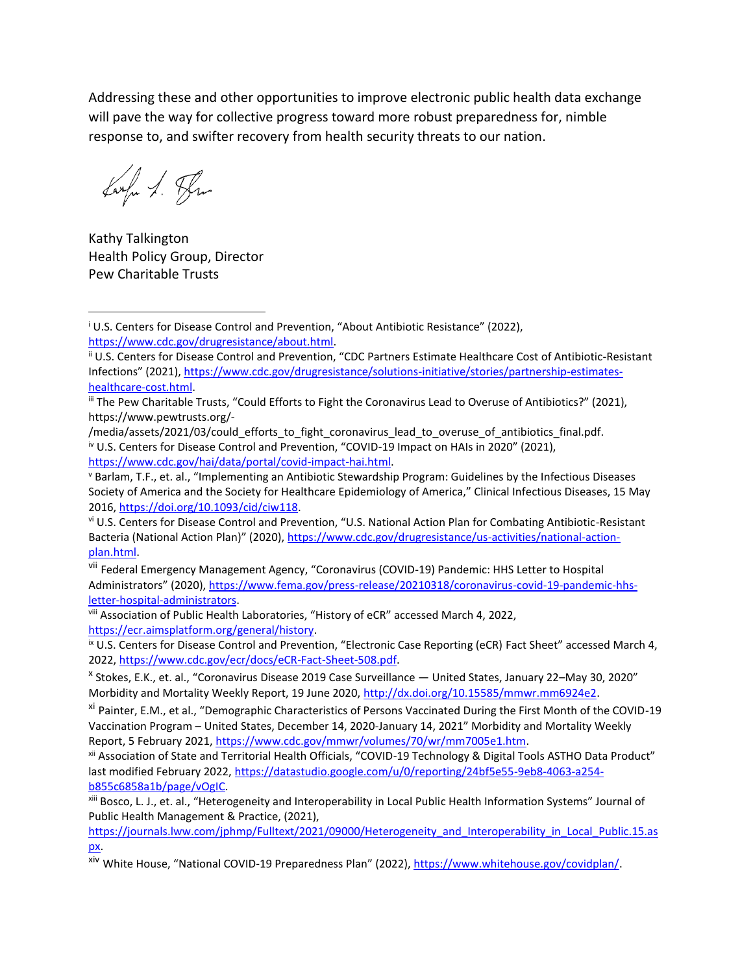Addressing these and other opportunities to improve electronic public health data exchange will pave the way for collective progress toward more robust preparedness for, nimble response to, and swifter recovery from health security threats to our nation.

Largu S. Pru

Kathy Talkington Health Policy Group, Director Pew Charitable Trusts

vii Federal Emergency Management Agency, "Coronavirus (COVID-19) Pandemic: HHS Letter to Hospital Administrators" (2020), [https://www.fema.gov/press-release/20210318/coronavirus-covid-19-pandemic-hhs](https://www.fema.gov/press-release/20210318/coronavirus-covid-19-pandemic-hhs-letter-hospital-administrators)[letter-hospital-administrators.](https://www.fema.gov/press-release/20210318/coronavirus-covid-19-pandemic-hhs-letter-hospital-administrators)

<sup>ix</sup> U.S. Centers for Disease Control and Prevention, "Electronic Case Reporting (eCR) Fact Sheet" accessed March 4, 2022, [https://www.cdc.gov/ecr/docs/eCR-Fact-Sheet-508.pdf.](https://www.cdc.gov/ecr/docs/eCR-Fact-Sheet-508.pdf)

<sup>&</sup>lt;sup>i</sup> U.S. Centers for Disease Control and Prevention, "About Antibiotic Resistance" (2022), [https://www.cdc.gov/drugresistance/about.html.](https://www.cdc.gov/drugresistance/about.html)

ii U.S. Centers for Disease Control and Prevention, "CDC Partners Estimate Healthcare Cost of Antibiotic-Resistant Infections" (2021), [https://www.cdc.gov/drugresistance/solutions-initiative/stories/partnership-estimates](https://www.cdc.gov/drugresistance/solutions-initiative/stories/partnership-estimates-healthcare-cost.html)[healthcare-cost.html.](https://www.cdc.gov/drugresistance/solutions-initiative/stories/partnership-estimates-healthcare-cost.html)

iii The Pew Charitable Trusts, "Could Efforts to Fight the Coronavirus Lead to Overuse of Antibiotics?" (2021), https://www.pewtrusts.org/-

<sup>/</sup>media/assets/2021/03/could\_efforts\_to\_fight\_coronavirus\_lead\_to\_overuse\_of\_antibiotics\_final.pdf. iv U.S. Centers for Disease Control and Prevention, "COVID-19 Impact on HAIs in 2020" (2021), [https://www.cdc.gov/hai/data/portal/covid-impact-hai.html.](https://www.cdc.gov/hai/data/portal/covid-impact-hai.html)

<sup>v</sup> Barlam, T.F., et. al., "Implementing an Antibiotic Stewardship Program: Guidelines by the Infectious Diseases Society of America and the Society for Healthcare Epidemiology of America," Clinical Infectious Diseases, 15 May 2016, [https://doi.org/10.1093/cid/ciw118.](https://doi.org/10.1093/cid/ciw118) 

vi U.S. Centers for Disease Control and Prevention, "U.S. National Action Plan for Combating Antibiotic-Resistant Bacteria (National Action Plan)" (2020), [https://www.cdc.gov/drugresistance/us-activities/national-action](https://www.cdc.gov/drugresistance/us-activities/national-action-plan.html)[plan.html.](https://www.cdc.gov/drugresistance/us-activities/national-action-plan.html)

viii Association of Public Health Laboratories, "History of eCR" accessed March 4, 2022, [https://ecr.aimsplatform.org/general/history.](https://ecr.aimsplatform.org/general/history)

x Stokes, E.K., et. al., "Coronavirus Disease 2019 Case Surveillance — United States, January 22–May 30, 2020" Morbidity and Mortality Weekly Report, 19 June 2020[, http://dx.doi.org/10.15585/mmwr.mm6924e2.](http://dx.doi.org/10.15585/mmwr.mm6924e2)

xi Painter, E.M., et al., "Demographic Characteristics of Persons Vaccinated During the First Month of the COVID-19 Vaccination Program – United States, December 14, 2020-January 14, 2021" Morbidity and Mortality Weekly Report, 5 February 2021[, https://www.cdc.gov/mmwr/volumes/70/wr/mm7005e1.htm.](https://www.cdc.gov/mmwr/volumes/70/wr/mm7005e1.htm)

xii Association of State and Territorial Health Officials, "COVID-19 Technology & Digital Tools ASTHO Data Product" last modified February 2022, [https://datastudio.google.com/u/0/reporting/24bf5e55-9eb8-4063-a254](https://datastudio.google.com/u/0/reporting/24bf5e55-9eb8-4063-a254-b855c6858a1b/page/vOgIC) [b855c6858a1b/page/vOgIC.](https://datastudio.google.com/u/0/reporting/24bf5e55-9eb8-4063-a254-b855c6858a1b/page/vOgIC)

xiii Bosco, L. J., et. al., "Heterogeneity and Interoperability in Local Public Health Information Systems" Journal of Public Health Management & Practice, (2021),

[https://journals.lww.com/jphmp/Fulltext/2021/09000/Heterogeneity\\_and\\_Interoperability\\_in\\_Local\\_Public.15.as](https://journals.lww.com/jphmp/Fulltext/2021/09000/Heterogeneity_and_Interoperability_in_Local_Public.15.aspx) [px.](https://journals.lww.com/jphmp/Fulltext/2021/09000/Heterogeneity_and_Interoperability_in_Local_Public.15.aspx)

xiv White House, "National COVID-19 Preparedness Plan" (2022), [https://www.whitehouse.gov/covidplan/.](https://www.whitehouse.gov/covidplan/)